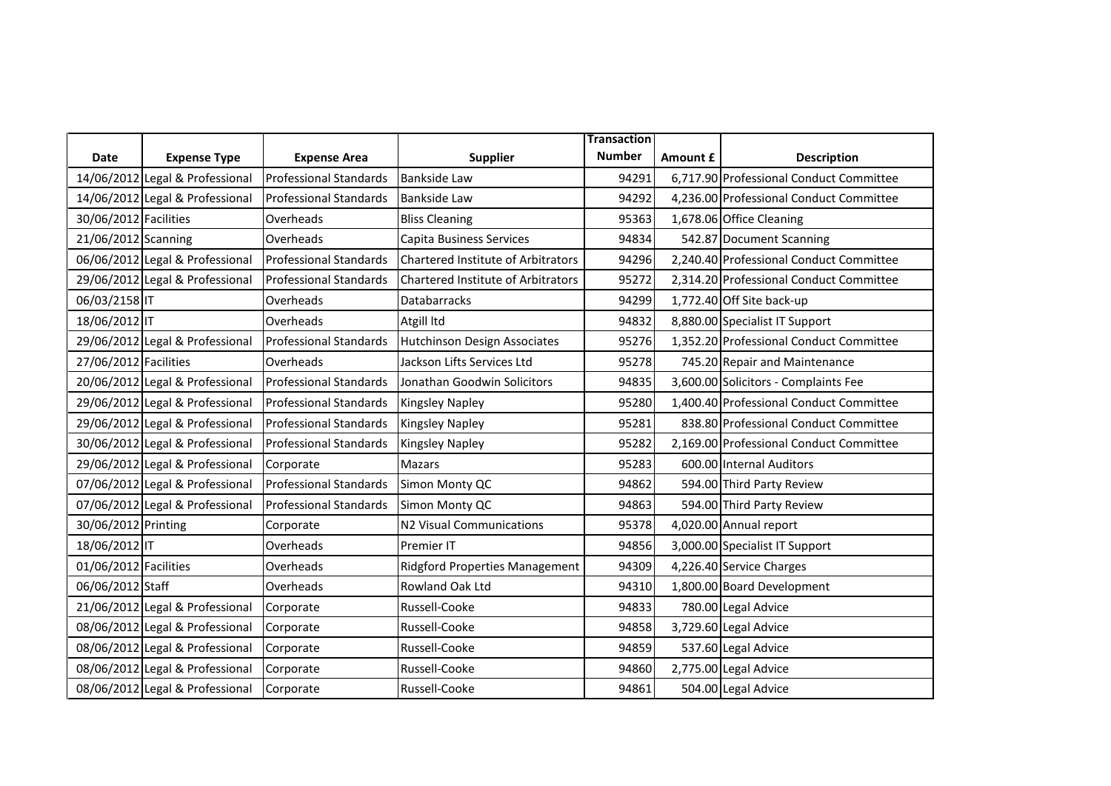|                       |                                 |                               |                                       | <b>Transaction</b> |          |                                         |
|-----------------------|---------------------------------|-------------------------------|---------------------------------------|--------------------|----------|-----------------------------------------|
| <b>Date</b>           | <b>Expense Type</b>             | <b>Expense Area</b>           | <b>Supplier</b>                       | <b>Number</b>      | Amount £ | <b>Description</b>                      |
|                       | 14/06/2012 Legal & Professional | <b>Professional Standards</b> | <b>Bankside Law</b>                   | 94291              |          | 6,717.90 Professional Conduct Committee |
|                       | 14/06/2012 Legal & Professional | <b>Professional Standards</b> | <b>Bankside Law</b>                   | 94292              |          | 4,236.00 Professional Conduct Committee |
| 30/06/2012 Facilities |                                 | Overheads                     | <b>Bliss Cleaning</b>                 | 95363              |          | 1,678.06 Office Cleaning                |
| 21/06/2012 Scanning   |                                 | Overheads                     | Capita Business Services              | 94834              |          | 542.87 Document Scanning                |
|                       | 06/06/2012 Legal & Professional | <b>Professional Standards</b> | Chartered Institute of Arbitrators    | 94296              |          | 2,240.40 Professional Conduct Committee |
|                       | 29/06/2012 Legal & Professional | <b>Professional Standards</b> | Chartered Institute of Arbitrators    | 95272              |          | 2,314.20 Professional Conduct Committee |
| 06/03/2158 IT         |                                 | Overheads                     | <b>Databarracks</b>                   | 94299              |          | 1,772.40 Off Site back-up               |
| 18/06/2012 IT         |                                 | Overheads                     | Atgill Itd                            | 94832              |          | 8,880.00 Specialist IT Support          |
|                       | 29/06/2012 Legal & Professional | <b>Professional Standards</b> | <b>Hutchinson Design Associates</b>   | 95276              |          | 1,352.20 Professional Conduct Committee |
| 27/06/2012 Facilities |                                 | Overheads                     | Jackson Lifts Services Ltd            | 95278              |          | 745.20 Repair and Maintenance           |
|                       | 20/06/2012 Legal & Professional | <b>Professional Standards</b> | Jonathan Goodwin Solicitors           | 94835              |          | 3,600.00 Solicitors - Complaints Fee    |
|                       | 29/06/2012 Legal & Professional | Professional Standards        | <b>Kingsley Napley</b>                | 95280              |          | 1,400.40 Professional Conduct Committee |
|                       | 29/06/2012 Legal & Professional | <b>Professional Standards</b> | <b>Kingsley Napley</b>                | 95281              |          | 838.80 Professional Conduct Committee   |
|                       | 30/06/2012 Legal & Professional | <b>Professional Standards</b> | Kingsley Napley                       | 95282              |          | 2,169.00 Professional Conduct Committee |
|                       | 29/06/2012 Legal & Professional | Corporate                     | <b>Mazars</b>                         | 95283              |          | 600.00 Internal Auditors                |
|                       | 07/06/2012 Legal & Professional | <b>Professional Standards</b> | Simon Monty QC                        | 94862              |          | 594.00 Third Party Review               |
|                       | 07/06/2012 Legal & Professional | <b>Professional Standards</b> | Simon Monty QC                        | 94863              |          | 594.00 Third Party Review               |
| 30/06/2012 Printing   |                                 | Corporate                     | <b>N2 Visual Communications</b>       | 95378              |          | 4,020.00 Annual report                  |
| 18/06/2012 IT         |                                 | Overheads                     | Premier IT                            | 94856              |          | 3,000.00 Specialist IT Support          |
| 01/06/2012 Facilities |                                 | Overheads                     | <b>Ridgford Properties Management</b> | 94309              |          | 4,226.40 Service Charges                |
| 06/06/2012 Staff      |                                 | Overheads                     | Rowland Oak Ltd                       | 94310              |          | 1,800.00 Board Development              |
|                       | 21/06/2012 Legal & Professional | Corporate                     | Russell-Cooke                         | 94833              |          | 780.00 Legal Advice                     |
|                       | 08/06/2012 Legal & Professional | Corporate                     | Russell-Cooke                         | 94858              |          | 3,729.60 Legal Advice                   |
|                       | 08/06/2012 Legal & Professional | Corporate                     | Russell-Cooke                         | 94859              |          | 537.60 Legal Advice                     |
|                       | 08/06/2012 Legal & Professional | Corporate                     | Russell-Cooke                         | 94860              |          | 2,775.00 Legal Advice                   |
|                       | 08/06/2012 Legal & Professional | Corporate                     | Russell-Cooke                         | 94861              |          | 504.00 Legal Advice                     |